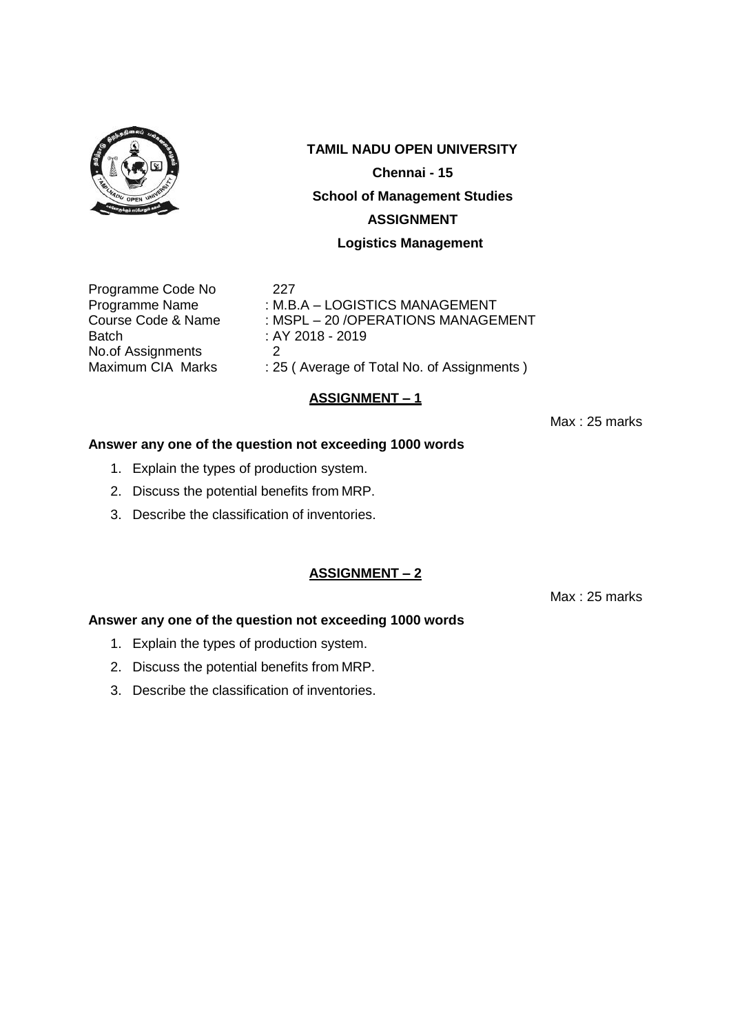

# **TAMIL NADU OPEN UNIVERSITY Chennai - 15 School of Management Studies**

### **ASSIGNMENT**

### **Logistics Management**

Programme Code No 227<br>Programme Name : M.B. Batch : AY 2018 - 2019 No.of Assignments 2<br>Maximum CIA Marks : 2

Programme Name : M.B.A – LOGISTICS MANAGEMENT<br>Course Code & Name : MSPL – 20 /OPERATIONS MANAGE : MSPL – 20 /OPERATIONS MANAGEMENT : 25 ( Average of Total No. of Assignments )

# **ASSIGNMENT – 1**

Max : 25 marks

# **Answer any one of the question not exceeding 1000 words**

- 1. Explain the types of production system.
- 2. Discuss the potential benefits from MRP.
- 3. Describe the classification of inventories.

# **ASSIGNMENT – 2**

Max : 25 marks

- 1. Explain the types of production system.
- 2. Discuss the potential benefits from MRP.
- 3. Describe the classification of inventories.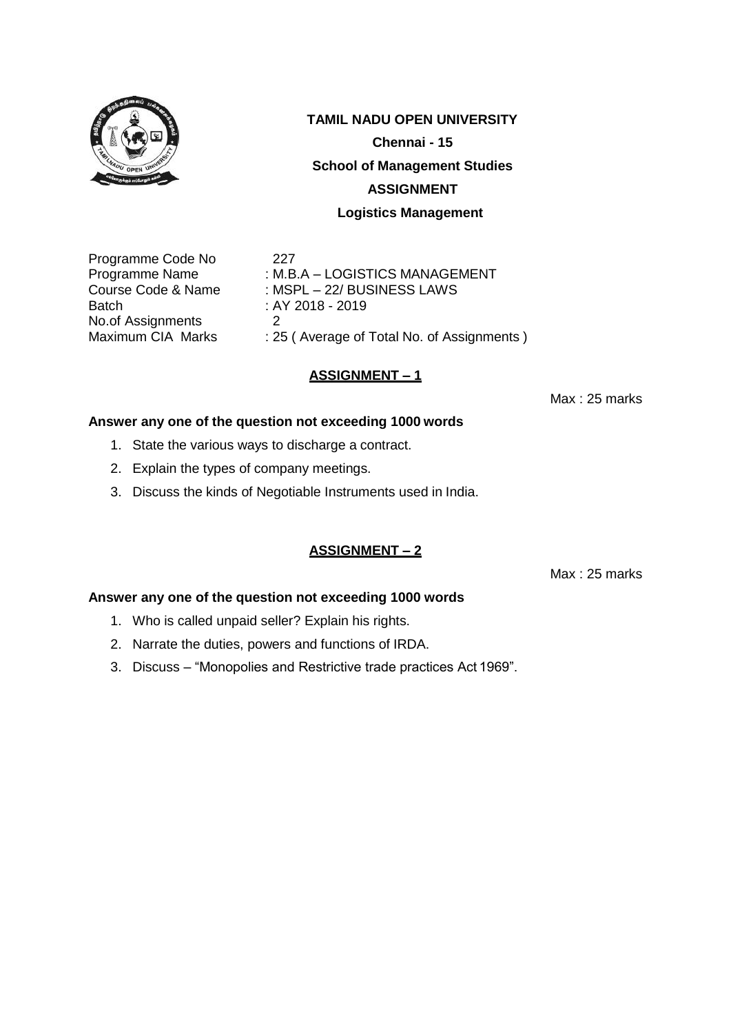

**Chennai - 15**

#### **School of Management Studies**

#### **ASSIGNMENT**

#### **Logistics Management**

Programme Code No 227 Batch : AY 2018 - 2019 No.of Assignments 2<br>Maximum CIA Marks : 25

Programme Name : M.B.A – LOGISTICS MANAGEMENT Course Code & Name : MSPL – 22/ BUSINESS LAWS : 25 ( Average of Total No. of Assignments )

### **ASSIGNMENT – 1**

Max : 25 marks

#### **Answer any one of the question not exceeding 1000 words**

- 1. State the various ways to discharge a contract.
- 2. Explain the types of company meetings.
- 3. Discuss the kinds of Negotiable Instruments used in India.

# **ASSIGNMENT – 2**

Max : 25 marks

- 1. Who is called unpaid seller? Explain his rights.
- 2. Narrate the duties, powers and functions of IRDA.
- 3. Discuss "Monopolies and Restrictive trade practices Act 1969".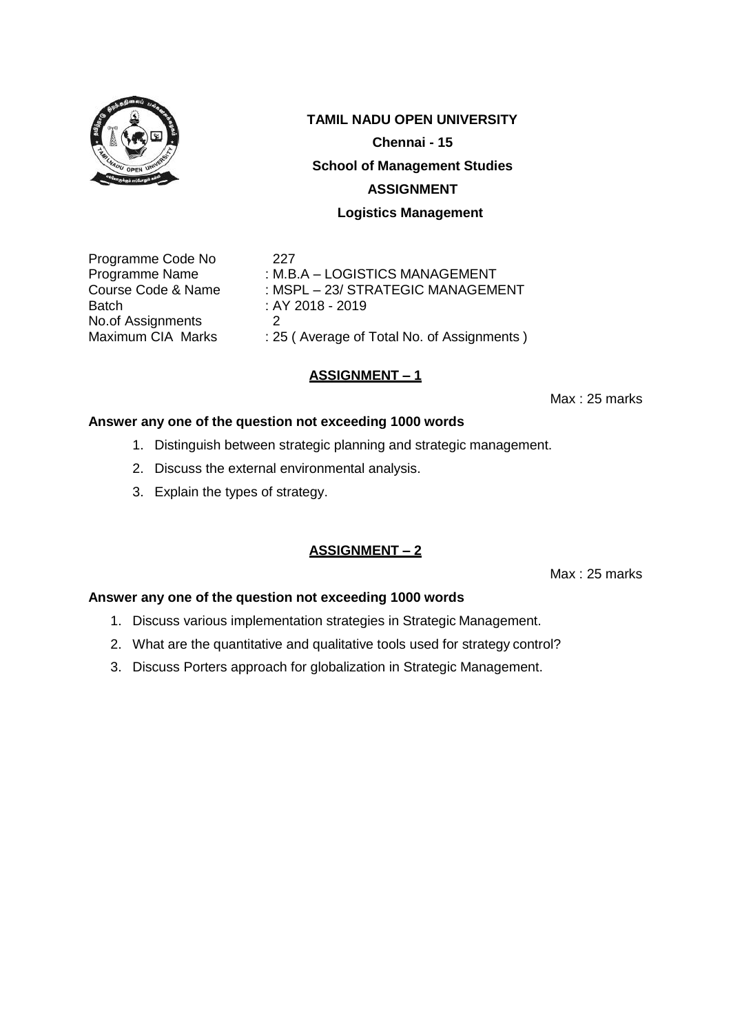

**Chennai - 15**

#### **School of Management Studies**

### **ASSIGNMENT**

### **Logistics Management**

Programme Code No 227 Batch : AY 2018 - 2019 No.of Assignments 2<br>Maximum CIA Marks : 25

Programme Name : M.B.A – LOGISTICS MANAGEMENT Course Code & Name : MSPL – 23/ STRATEGIC MANAGEMENT : 25 ( Average of Total No. of Assignments )

# **ASSIGNMENT – 1**

Max : 25 marks

### **Answer any one of the question not exceeding 1000 words**

- 1. Distinguish between strategic planning and strategic management.
- 2. Discuss the external environmental analysis.
- 3. Explain the types of strategy.

# **ASSIGNMENT – 2**

Max : 25 marks

- 1. Discuss various implementation strategies in Strategic Management.
- 2. What are the quantitative and qualitative tools used for strategy control?
- 3. Discuss Porters approach for globalization in Strategic Management.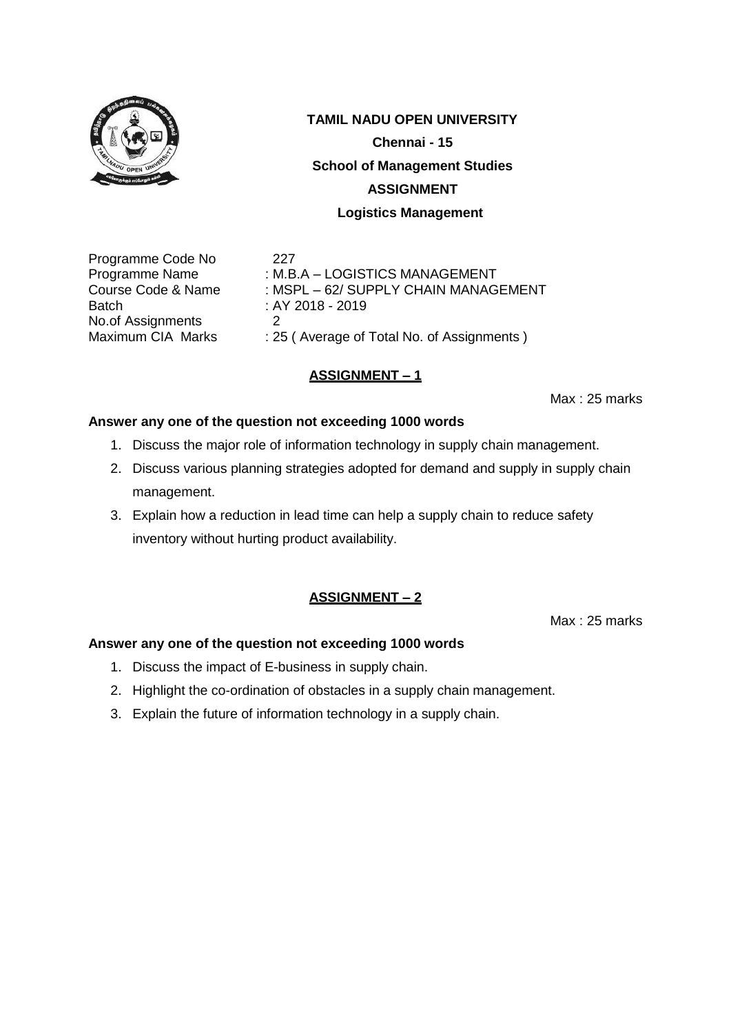

**Chennai - 15**

### **School of Management Studies**

### **ASSIGNMENT**

### **Logistics Management**

Programme Code No 227 Batch : AY 2018 - 2019 No.of Assignments 2<br>Maximum CIA Marks : 25

Programme Name : M.B.A – LOGISTICS MANAGEMENT Course Code & Name : MSPL – 62/ SUPPLY CHAIN MANAGEMENT : 25 ( Average of Total No. of Assignments )

# **ASSIGNMENT – 1**

Max : 25 marks

### **Answer any one of the question not exceeding 1000 words**

- 1. Discuss the major role of information technology in supply chain management.
- 2. Discuss various planning strategies adopted for demand and supply in supply chain management.
- 3. Explain how a reduction in lead time can help a supply chain to reduce safety inventory without hurting product availability.

# **ASSIGNMENT – 2**

Max : 25 marks

- 1. Discuss the impact of E-business in supply chain.
- 2. Highlight the co-ordination of obstacles in a supply chain management.
- 3. Explain the future of information technology in a supply chain.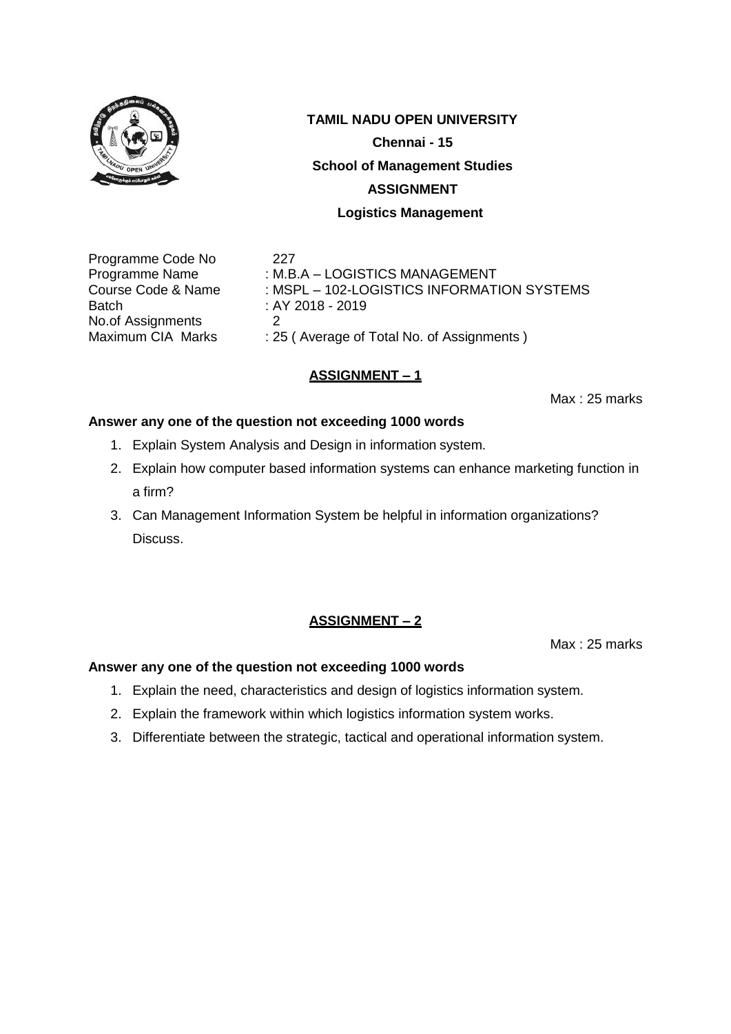

**Chennai - 15**

#### **School of Management Studies**

#### **ASSIGNMENT**

#### **Logistics Management**

Programme Code No 227 Batch : AY 2018 - 2019 No.of Assignments 2<br>Maximum CIA Marks : 25

Programme Name : M.B.A – LOGISTICS MANAGEMENT Course Code & Name : MSPL – 102-LOGISTICS INFORMATION SYSTEMS

: 25 ( Average of Total No. of Assignments )

# **ASSIGNMENT – 1**

Max : 25 marks

### **Answer any one of the question not exceeding 1000 words**

- 1. Explain System Analysis and Design in information system.
- 2. Explain how computer based information systems can enhance marketing function in a firm?
- 3. Can Management Information System be helpful in information organizations? Discuss.

# **ASSIGNMENT – 2**

Max : 25 marks

- 1. Explain the need, characteristics and design of logistics information system.
- 2. Explain the framework within which logistics information system works.
- 3. Differentiate between the strategic, tactical and operational information system.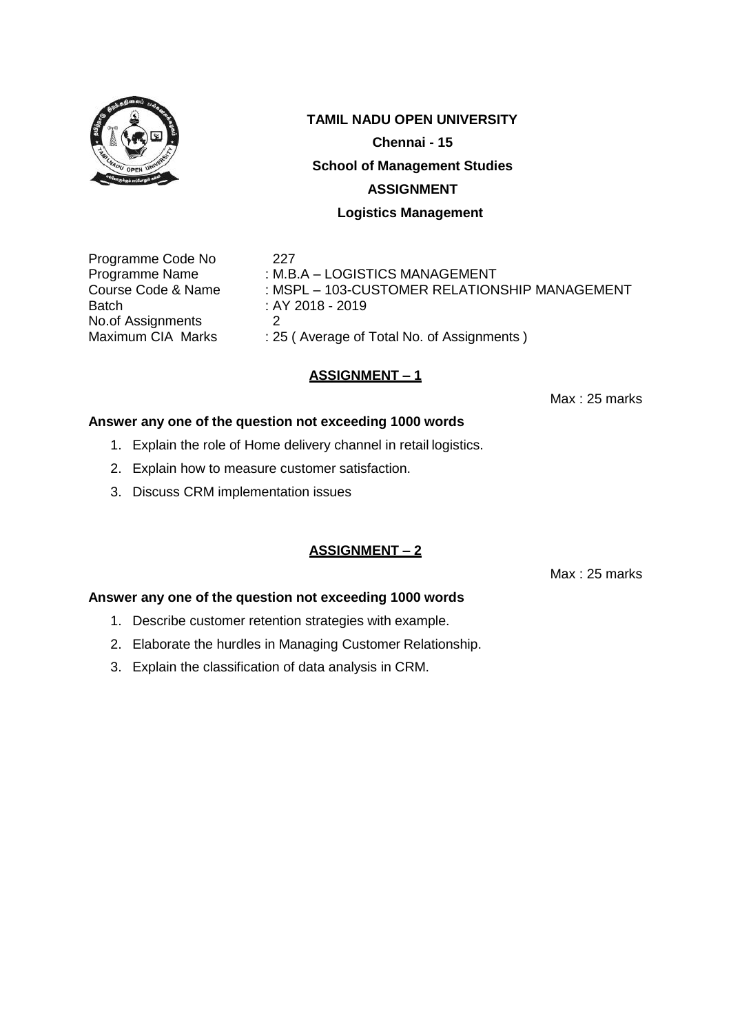

**Chennai - 15**

#### **School of Management Studies**

#### **ASSIGNMENT**

#### **Logistics Management**

Programme Code No 227 Batch : AY 2018 - 2019 No.of Assignments 2<br>Maximum CIA Marks : 25

Programme Name : M.B.A – LOGISTICS MANAGEMENT Course Code & Name : MSPL – 103-CUSTOMER RELATIONSHIP MANAGEMENT

: 25 ( Average of Total No. of Assignments )

# **ASSIGNMENT – 1**

Max : 25 marks

#### **Answer any one of the question not exceeding 1000 words**

- 1. Explain the role of Home delivery channel in retail logistics.
- 2. Explain how to measure customer satisfaction.
- 3. Discuss CRM implementation issues

### **ASSIGNMENT – 2**

Max : 25 marks

- 1. Describe customer retention strategies with example.
- 2. Elaborate the hurdles in Managing Customer Relationship.
- 3. Explain the classification of data analysis in CRM.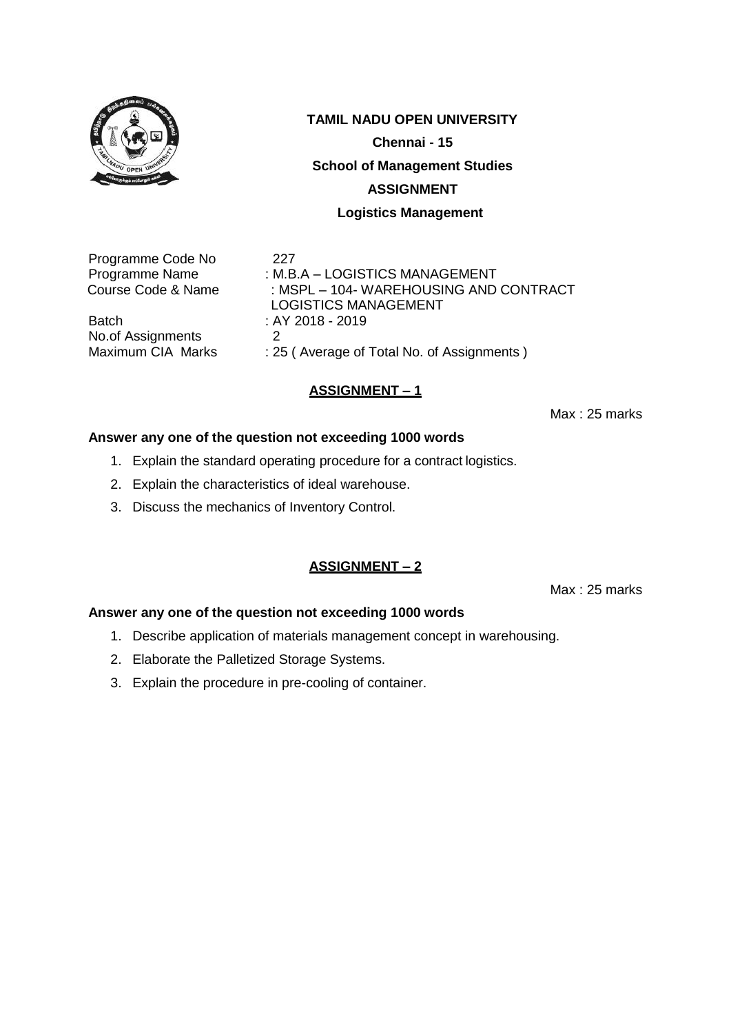

**Chennai - 15**

#### **School of Management Studies**

#### **ASSIGNMENT**

#### **Logistics Management**

Programme Code No 227

Batch : AY 2018 - 2019<br>No. of Assignments 2 No.of Assignments<br>Maximum CIA Marks

Programme Name : M.B.A – LOGISTICS MANAGEMENT<br>Course Code & Name : MSPL – 104- WAREHOUSING AND : MSPL – 104- WAREHOUSING AND CONTRACT LOGISTICS MANAGEMENT : 25 ( Average of Total No. of Assignments )

### **ASSIGNMENT – 1**

Max : 25 marks

#### **Answer any one of the question not exceeding 1000 words**

- 1. Explain the standard operating procedure for a contract logistics.
- 2. Explain the characteristics of ideal warehouse.
- 3. Discuss the mechanics of Inventory Control.

### **ASSIGNMENT – 2**

Max : 25 marks

- 1. Describe application of materials management concept in warehousing.
- 2. Elaborate the Palletized Storage Systems.
- 3. Explain the procedure in pre-cooling of container.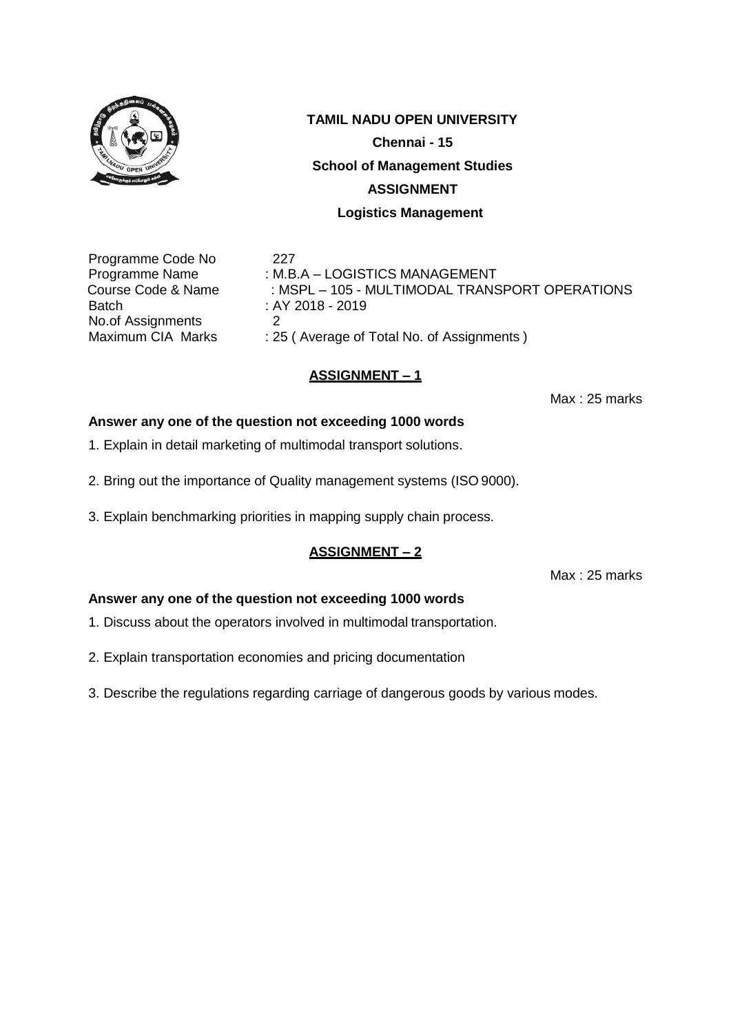

**TAMIL NADU OPEN UNIVERSITY Chennai - 15 School of Management Studies ASSIGNMENT**

**Logistics Management**

Programme Code No 227 Batch : AY 2018 - 2019 No.of Assignments 2<br>Maximum CIA Marks : 29

Programme Name : M.B.A – LOGISTICS MANAGEMENT Course Code & Name : MSPL – 105 - MULTIMODAL TRANSPORT OPERATIONS : 25 ( Average of Total No. of Assignments )

# **ASSIGNMENT – 1**

Max : 25 marks

# **Answer any one of the question not exceeding 1000 words**

- 1. Explain in detail marketing of multimodal transport solutions.
- 2. Bring out the importance of Quality management systems (ISO 9000).
- 3. Explain benchmarking priorities in mapping supply chain process.

# **ASSIGNMENT – 2**

Max : 25 marks

- 1. Discuss about the operators involved in multimodal transportation.
- 2. Explain transportation economies and pricing documentation
- 3. Describe the regulations regarding carriage of dangerous goods by various modes.